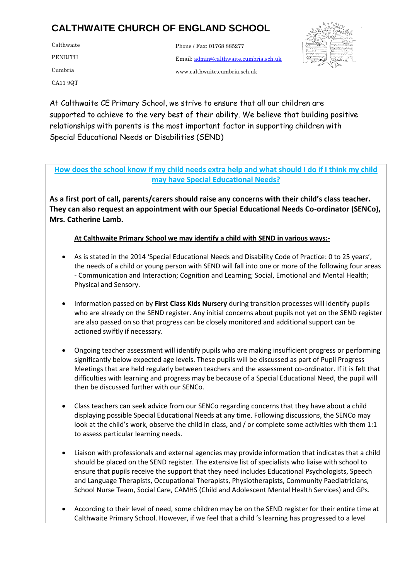Calthwaite PENRITH Cumbria CA11 9QT

 Email[: admin@calthwaite.cumbria.sch.uk](mailto:admin@calthwaite.cumbria.sch.uk) Phone / Fax: 01768 885277 www.calthwaite.cumbria.sch.uk



At Calthwaite CE Primary School, we strive to ensure that all our children are relationships with parents is the most important factor in supporting children with  $\frac{1}{2}$ supported to achieve to the very best of their ability. We believe that building positive Special Educational Needs or Disabilities (SEND)

**How does the school know if my child needs extra help and what should I do if I think my child may have Special Educational Needs?**

**As a first port of call, parents/carers should raise any concerns with their child's class teacher. They can also request an appointment with our Special Educational Needs Co-ordinator (SENCo), Mrs. Catherine Lamb.**

**At Calthwaite Primary School we may identify a child with SEND in various ways:-**

- As is stated in the 2014 'Special Educational Needs and Disability Code of Practice: 0 to 25 years', the needs of a child or young person with SEND will fall into one or more of the following four areas - Communication and Interaction; Cognition and Learning; Social, Emotional and Mental Health; Physical and Sensory.
- Information passed on by **First Class Kids Nursery** during transition processes will identify pupils who are already on the SEND register. Any initial concerns about pupils not yet on the SEND register are also passed on so that progress can be closely monitored and additional support can be actioned swiftly if necessary.
- Ongoing teacher assessment will identify pupils who are making insufficient progress or performing significantly below expected age levels. These pupils will be discussed as part of Pupil Progress Meetings that are held regularly between teachers and the assessment co-ordinator. If it is felt that difficulties with learning and progress may be because of a Special Educational Need, the pupil will then be discussed further with our SENCo.
- Class teachers can seek advice from our SENCo regarding concerns that they have about a child displaying possible Special Educational Needs at any time. Following discussions, the SENCo may look at the child's work, observe the child in class, and / or complete some activities with them 1:1 to assess particular learning needs.
- Liaison with professionals and external agencies may provide information that indicates that a child should be placed on the SEND register. The extensive list of specialists who liaise with school to ensure that pupils receive the support that they need includes Educational Psychologists, Speech and Language Therapists, Occupational Therapists, Physiotherapists, Community Paediatricians, School Nurse Team, Social Care, CAMHS (Child and Adolescent Mental Health Services) and GPs.
- According to their level of need, some children may be on the SEND register for their entire time at Calthwaite Primary School. However, if we feel that a child 's learning has progressed to a level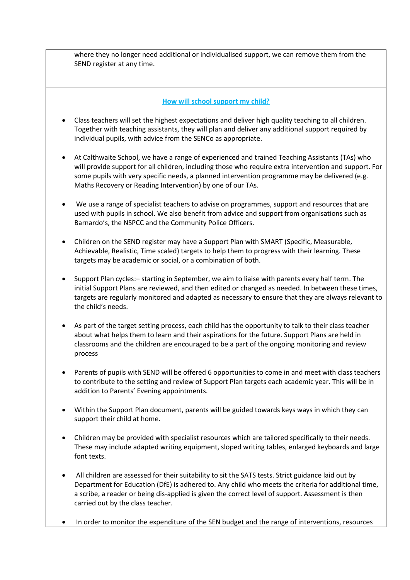where they no longer need additional or individualised support, we can remove them from the SEND register at any time.

#### **How will school support my child?**

- Class teachers will set the highest expectations and deliver high quality teaching to all children. Together with teaching assistants, they will plan and deliver any additional support required by individual pupils, with advice from the SENCo as appropriate.
- At Calthwaite School, we have a range of experienced and trained Teaching Assistants (TAs) who will provide support for all children, including those who require extra intervention and support. For some pupils with very specific needs, a planned intervention programme may be delivered (e.g. Maths Recovery or Reading Intervention) by one of our TAs.
- We use a range of specialist teachers to advise on programmes, support and resources that are used with pupils in school. We also benefit from advice and support from organisations such as Barnardo's, the NSPCC and the Community Police Officers.
- Children on the SEND register may have a Support Plan with SMART (Specific, Measurable, Achievable, Realistic, Time scaled) targets to help them to progress with their learning. These targets may be academic or social, or a combination of both.
- Support Plan cycles:– starting in September, we aim to liaise with parents every half term. The initial Support Plans are reviewed, and then edited or changed as needed. In between these times, targets are regularly monitored and adapted as necessary to ensure that they are always relevant to the child's needs.
- As part of the target setting process, each child has the opportunity to talk to their class teacher about what helps them to learn and their aspirations for the future. Support Plans are held in classrooms and the children are encouraged to be a part of the ongoing monitoring and review process
- Parents of pupils with SEND will be offered 6 opportunities to come in and meet with class teachers to contribute to the setting and review of Support Plan targets each academic year. This will be in addition to Parents' Evening appointments.
- Within the Support Plan document, parents will be guided towards keys ways in which they can support their child at home.
- Children may be provided with specialist resources which are tailored specifically to their needs. These may include adapted writing equipment, sloped writing tables, enlarged keyboards and large font texts.
- All children are assessed for their suitability to sit the SATS tests. Strict guidance laid out by Department for Education (DfE) is adhered to. Any child who meets the criteria for additional time, a scribe, a reader or being dis-applied is given the correct level of support. Assessment is then carried out by the class teacher.
- In order to monitor the expenditure of the SEN budget and the range of interventions, resources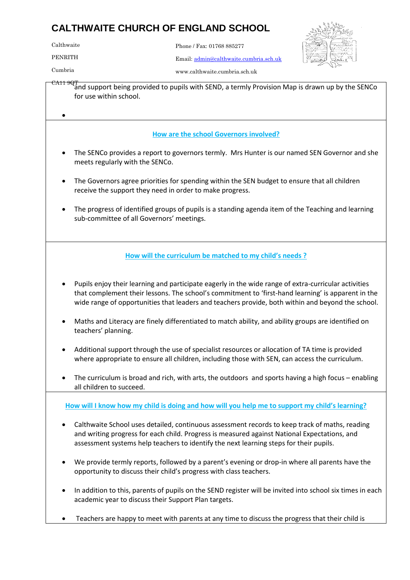| Calthwaite | Phone / Fax: 01768 885277              |
|------------|----------------------------------------|
| PENRITH    | Email: admin@calthwaite.cumbria.sch.uk |



Cumbria

Mr J W Askew

www.calthwaite.cumbria.sch.uk

CA11 9QT and support being provided to pupils with SEND, a termly Provision Map is drawn up by the SENCo for use within school.  $\bullet$ 

# **How are the school Governors involved?**

- The SENCo provides a report to governors termly. Mrs Hunter is our named SEN Governor and she meets regularly with the SENCo.
- The Governors agree priorities for spending within the SEN budget to ensure that all children receive the support they need in order to make progress.
- The progress of identified groups of pupils is a standing agenda item of the Teaching and learning sub-committee of all Governors' meetings.

# **How will the curriculum be matched to my child's needs ?**

- Pupils enjoy their learning and participate eagerly in the wide range of extra-curricular activities that complement their lessons. The school's commitment to 'first-hand learning' is apparent in the wide range of opportunities that leaders and teachers provide, both within and beyond the school.
- Maths and Literacy are finely differentiated to match ability, and ability groups are identified on teachers' planning.
- Additional support through the use of specialist resources or allocation of TA time is provided where appropriate to ensure all children, including those with SEN, can access the curriculum.
- The curriculum is broad and rich, with arts, the outdoors and sports having a high focus enabling all children to succeed.

**How will I know how my child is doing and how will you help me to support my child's learning?**

- Calthwaite School uses detailed, continuous assessment records to keep track of maths, reading and writing progress for each child. Progress is measured against National Expectations, and assessment systems help teachers to identify the next learning steps for their pupils.
- We provide termly reports, followed by a parent's evening or drop-in where all parents have the opportunity to discuss their child's progress with class teachers.
- In addition to this, parents of pupils on the SEND register will be invited into school six times in each academic year to discuss their Support Plan targets.
- Teachers are happy to meet with parents at any time to discuss the progress that their child is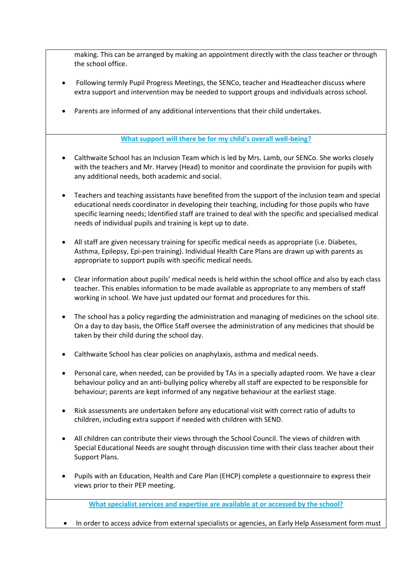making. This can be arranged by making an appointment directly with the class teacher or through the school office.

- Following termly Pupil Progress Meetings, the SENCo, teacher and Headteacher discuss where extra support and intervention may be needed to support groups and individuals across school.
- Parents are informed of any additional interventions that their child undertakes.

## **What support will there be for my child's overall well-being?**

- Calthwaite School has an Inclusion Team which is led by Mrs. Lamb, our SENCo. She works closely with the teachers and Mr. Harvey (Head) to monitor and coordinate the provision for pupils with any additional needs, both academic and social.
- Teachers and teaching assistants have benefited from the support of the inclusion team and special educational needs coordinator in developing their teaching, including for those pupils who have specific learning needs; Identified staff are trained to deal with the specific and specialised medical needs of individual pupils and training is kept up to date.
- All staff are given necessary training for specific medical needs as appropriate (i.e. Diabetes, Asthma, Epilepsy, Epi-pen training). Individual Health Care Plans are drawn up with parents as appropriate to support pupils with specific medical needs.
- Clear information about pupils' medical needs is held within the school office and also by each class teacher. This enables information to be made available as appropriate to any members of staff working in school. We have just updated our format and procedures for this.
- The school has a policy regarding the administration and managing of medicines on the school site. On a day to day basis, the Office Staff oversee the administration of any medicines that should be taken by their child during the school day.
- Calthwaite School has clear policies on anaphylaxis, asthma and medical needs.
- Personal care, when needed, can be provided by TAs in a specially adapted room. We have a clear behaviour policy and an anti-bullying policy whereby all staff are expected to be responsible for behaviour; parents are kept informed of any negative behaviour at the earliest stage.
- Risk assessments are undertaken before any educational visit with correct ratio of adults to children, including extra support if needed with children with SEND.
- All children can contribute their views through the School Council. The views of children with Special Educational Needs are sought through discussion time with their class teacher about their Support Plans.
- Pupils with an Education, Health and Care Plan (EHCP) complete a questionnaire to express their views prior to their PEP meeting.

**What specialist services and expertise are available at or accessed by the school?**

• In order to access advice from external specialists or agencies, an Early Help Assessment form must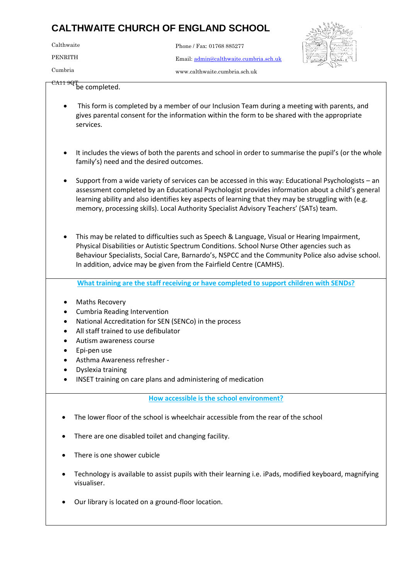Calthwaite Email[: admin@calthwaite.cumbria.sch.uk](mailto:admin@calthwaite.cumbria.sch.uk) PENRITH Cumbria Phone / Fax: 01768 885277 www.calthwaite.cumbria.sch.uk



 $\frac{\text{CAT}}{\text{be completed}}$ 

- This form is completed by a member of our Inclusion Team during a meeting with parents, and services. gives parental consent for the information within the form to be shared with the appropriate
	- It includes the views of both the parents and school in order to summarise the pupil's (or the whole family's) need and the desired outcomes.
	- Support from a wide variety of services can be accessed in this way: Educational Psychologists an assessment completed by an Educational Psychologist provides information about a child's general learning ability and also identifies key aspects of learning that they may be struggling with (e.g. memory, processing skills). Local Authority Specialist Advisory Teachers' (SATs) team.
	- This may be related to difficulties such as Speech & Language, Visual or Hearing Impairment, Physical Disabilities or Autistic Spectrum Conditions. School Nurse Other agencies such as Behaviour Specialists, Social Care, Barnardo's, NSPCC and the Community Police also advise school. In addition, advice may be given from the Fairfield Centre (CAMHS).

**What training are the staff receiving or have completed to support children with SENDs?**

- Maths Recovery
- Cumbria Reading Intervention
- National Accreditation for SEN (SENCo) in the process
- All staff trained to use defibulator
- Autism awareness course
- Epi-pen use
- Asthma Awareness refresher -
- Dyslexia training
- INSET training on care plans and administering of medication

**How accessible is the school environment?**

- The lower floor of the school is wheelchair accessible from the rear of the school
- There are one disabled toilet and changing facility.
- There is one shower cubicle
- Technology is available to assist pupils with their learning i.e. iPads, modified keyboard, magnifying visualiser.
- Our library is located on a ground-floor location.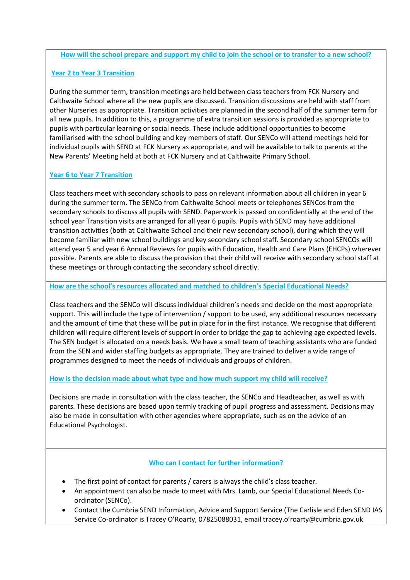#### **How will the school prepare and support my child to join the school or to transfer to a new school?**

### **Year 2 to Year 3 Transition**

During the summer term, transition meetings are held between class teachers from FCK Nursery and Calthwaite School where all the new pupils are discussed. Transition discussions are held with staff from other Nurseries as appropriate. Transition activities are planned in the second half of the summer term for all new pupils. In addition to this, a programme of extra transition sessions is provided as appropriate to pupils with particular learning or social needs. These include additional opportunities to become familiarised with the school building and key members of staff. Our SENCo will attend meetings held for individual pupils with SEND at FCK Nursery as appropriate, and will be available to talk to parents at the New Parents' Meeting held at both at FCK Nursery and at Calthwaite Primary School.

## **Year 6 to Year 7 Transition**

Class teachers meet with secondary schools to pass on relevant information about all children in year 6 during the summer term. The SENCo from Calthwaite School meets or telephones SENCos from the secondary schools to discuss all pupils with SEND. Paperwork is passed on confidentially at the end of the school year Transition visits are arranged for all year 6 pupils. Pupils with SEND may have additional transition activities (both at Calthwaite School and their new secondary school), during which they will become familiar with new school buildings and key secondary school staff. Secondary school SENCOs will attend year 5 and year 6 Annual Reviews for pupils with Education, Health and Care Plans (EHCPs) wherever possible. Parents are able to discuss the provision that their child will receive with secondary school staff at these meetings or through contacting the secondary school directly.

#### **How are the school's resources allocated and matched to children's Special Educational Needs?**

Class teachers and the SENCo will discuss individual children's needs and decide on the most appropriate support. This will include the type of intervention / support to be used, any additional resources necessary and the amount of time that these will be put in place for in the first instance. We recognise that different children will require different levels of support in order to bridge the gap to achieving age expected levels. The SEN budget is allocated on a needs basis. We have a small team of teaching assistants who are funded from the SEN and wider staffing budgets as appropriate. They are trained to deliver a wide range of programmes designed to meet the needs of individuals and groups of children.

## **How is the decision made about what type and how much support my child will receive?**

Decisions are made in consultation with the class teacher, the SENCo and Headteacher, as well as with parents. These decisions are based upon termly tracking of pupil progress and assessment. Decisions may also be made in consultation with other agencies where appropriate, such as on the advice of an Educational Psychologist.

## **Who can I contact for further information?**

- The first point of contact for parents / carers is always the child's class teacher.
- An appointment can also be made to meet with Mrs. Lamb, our Special Educational Needs Coordinator (SENCo).
- Contact the Cumbria SEND Information, Advice and Support Service (The Carlisle and Eden SEND IAS Service Co-ordinator is Tracey O'Roarty, 07825088031, email tracey.o'roarty@cumbria.gov.uk